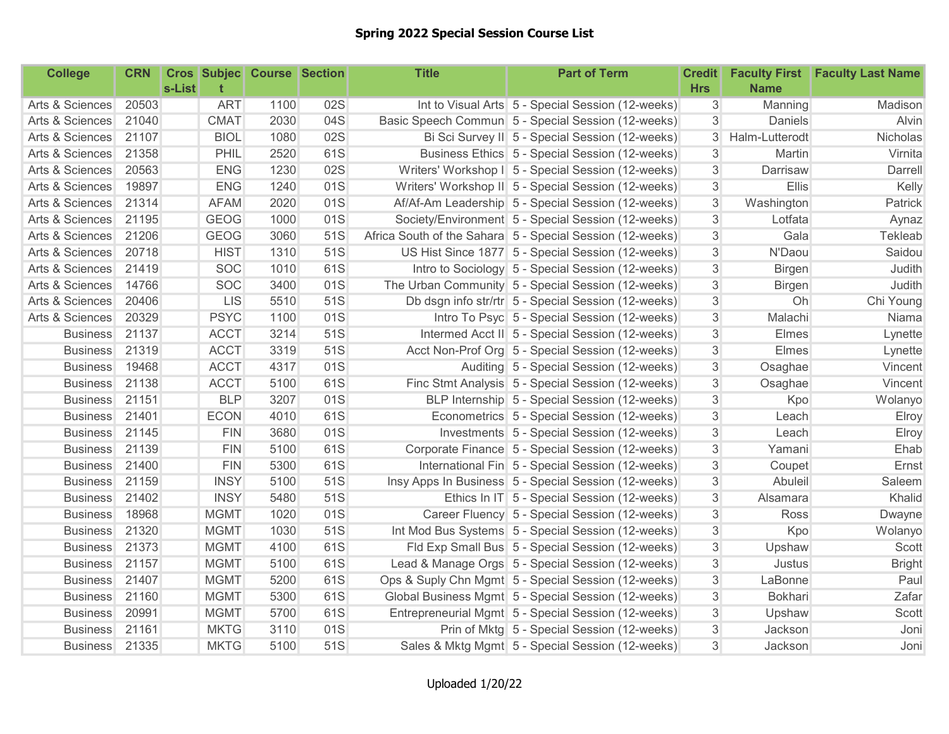## Spring 2022 Special Session Course List

| <b>College</b>  | <b>CRN</b> | s-List |             | <b>Cros Subjec Course Section</b> |     | <b>Title</b> | <b>Part of Term</b>                                       | <b>Credit</b><br><b>Hrs</b> | <b>Name</b>    | <b>Faculty First Faculty Last Name</b> |
|-----------------|------------|--------|-------------|-----------------------------------|-----|--------------|-----------------------------------------------------------|-----------------------------|----------------|----------------------------------------|
| Arts & Sciences | 20503      |        | <b>ART</b>  | 1100                              | 02S |              | Int to Visual Arts 5 - Special Session (12-weeks)         | $\mathfrak{S}$              | Manning        | Madison                                |
| Arts & Sciences | 21040      |        | <b>CMAT</b> | 2030                              | 04S |              | Basic Speech Commun 5 - Special Session (12-weeks)        | 3                           | Daniels        | Alvin                                  |
| Arts & Sciences | 21107      |        | <b>BIOL</b> | 1080                              | 02S |              | Bi Sci Survey II 5 - Special Session (12-weeks)           | 3                           | Halm-Lutterodt | Nicholas                               |
| Arts & Sciences | 21358      |        | PHIL        | 2520                              | 61S |              | Business Ethics 5 - Special Session (12-weeks)            | $\mathfrak{S}$              | Martin         | Virnita                                |
| Arts & Sciences | 20563      |        | <b>ENG</b>  | 1230                              | 02S |              | Writers' Workshop I 5 - Special Session (12-weeks)        | 3                           | Darrisaw       | Darrell                                |
| Arts & Sciences | 19897      |        | <b>ENG</b>  | 1240                              | 01S |              | Writers' Workshop II 5 - Special Session (12-weeks)       | 3                           | Ellis          | Kelly                                  |
| Arts & Sciences | 21314      |        | <b>AFAM</b> | 2020                              | 01S |              | Af/Af-Am Leadership 5 - Special Session (12-weeks)        | 3                           | Washington     | Patrick                                |
| Arts & Sciences | 21195      |        | <b>GEOG</b> | 1000                              | 01S |              | Society/Environment 5 - Special Session (12-weeks)        | 3                           | Lotfata        | Aynaz                                  |
| Arts & Sciences | 21206      |        | <b>GEOG</b> | 3060                              | 51S |              | Africa South of the Sahara 5 - Special Session (12-weeks) | 3                           | Gala           | Tekleab                                |
| Arts & Sciences | 20718      |        | <b>HIST</b> | 1310                              | 51S |              | US Hist Since 1877 5 - Special Session (12-weeks)         | 3                           | N'Daou         | Saidou                                 |
| Arts & Sciences | 21419      |        | <b>SOC</b>  | 1010                              | 61S |              | Intro to Sociology 5 - Special Session (12-weeks)         | 3                           | Birgen         | Judith                                 |
| Arts & Sciences | 14766      |        | <b>SOC</b>  | 3400                              | 01S |              | The Urban Community 5 - Special Session (12-weeks)        | 3                           | <b>Birgen</b>  | Judith                                 |
| Arts & Sciences | 20406      |        | <b>LIS</b>  | 5510                              | 51S |              | Db dsgn info str/rtr 5 - Special Session (12-weeks)       | 3                           | Oh             | Chi Young                              |
| Arts & Sciences | 20329      |        | <b>PSYC</b> | 1100                              | 01S |              | Intro To Psyc 5 - Special Session (12-weeks)              | $\sqrt{3}$                  | Malachi        | Niama                                  |
| <b>Business</b> | 21137      |        | <b>ACCT</b> | 3214                              | 51S |              | Intermed Acct II 5 - Special Session (12-weeks)           | $\sqrt{3}$                  | Elmes          | Lynette                                |
| <b>Business</b> | 21319      |        | <b>ACCT</b> | 3319                              | 51S |              | Acct Non-Prof Org 5 - Special Session (12-weeks)          | $\sqrt{3}$                  | Elmes          | Lynette                                |
| <b>Business</b> | 19468      |        | <b>ACCT</b> | 4317                              | 01S |              | Auditing 5 - Special Session (12-weeks)                   | $\mathfrak{S}$              | Osaghae        | Vincent                                |
| <b>Business</b> | 21138      |        | <b>ACCT</b> | 5100                              | 61S |              | Finc Stmt Analysis 5 - Special Session (12-weeks)         | 3                           | Osaghae        | Vincent                                |
| <b>Business</b> | 21151      |        | <b>BLP</b>  | 3207                              | 01S |              | BLP Internship 5 - Special Session (12-weeks)             | 3                           | Kpo            | Wolanyo                                |
| <b>Business</b> | 21401      |        | <b>ECON</b> | 4010                              | 61S |              | Econometrics 5 - Special Session (12-weeks)               | 3                           | Leach          | Elroy                                  |
| <b>Business</b> | 21145      |        | <b>FIN</b>  | 3680                              | 01S |              | Investments 5 - Special Session (12-weeks)                | 3                           | Leach          | Elroy                                  |
| <b>Business</b> | 21139      |        | <b>FIN</b>  | 5100                              | 61S |              | Corporate Finance 5 - Special Session (12-weeks)          | 3                           | Yamani         | Ehab                                   |
| <b>Business</b> | 21400      |        | <b>FIN</b>  | 5300                              | 61S |              | International Fin 5 - Special Session (12-weeks)          | 3                           | Coupet         | Ernst                                  |
| <b>Business</b> | 21159      |        | <b>INSY</b> | 5100                              | 51S |              | Insy Apps In Business 5 - Special Session (12-weeks)      | $\ensuremath{\mathsf{3}}$   | Abuleil        | Saleem                                 |
| <b>Business</b> | 21402      |        | <b>INSY</b> | 5480                              | 51S |              | Ethics In IT 5 - Special Session (12-weeks)               | 3                           | Alsamara       | Khalid                                 |
| <b>Business</b> | 18968      |        | <b>MGMT</b> | 1020                              | 01S |              | Career Fluency 5 - Special Session (12-weeks)             | 3                           | Ross           | Dwayne                                 |
| <b>Business</b> | 21320      |        | <b>MGMT</b> | 1030                              | 51S |              | Int Mod Bus Systems 5 - Special Session (12-weeks)        | $\sqrt{3}$                  | Kpo            | Wolanyo                                |
| <b>Business</b> | 21373      |        | <b>MGMT</b> | 4100                              | 61S |              | Fld Exp Small Bus 5 - Special Session (12-weeks)          | $\ensuremath{\mathsf{3}}$   | Upshaw         | Scott                                  |
| <b>Business</b> | 21157      |        | <b>MGMT</b> | 5100                              | 61S |              | Lead & Manage Orgs 5 - Special Session (12-weeks)         | 3                           | Justus         | <b>Bright</b>                          |
| <b>Business</b> | 21407      |        | <b>MGMT</b> | 5200                              | 61S |              | Ops & Suply Chn Mgmt 5 - Special Session (12-weeks)       | 3                           | LaBonne        | Paul                                   |
| <b>Business</b> | 21160      |        | <b>MGMT</b> | 5300                              | 61S |              | Global Business Mgmt 5 - Special Session (12-weeks)       | 3                           | <b>Bokhari</b> | Zafar                                  |
| <b>Business</b> | 20991      |        | <b>MGMT</b> | 5700                              | 61S |              | Entrepreneurial Mgmt 5 - Special Session (12-weeks)       | 3                           | Upshaw         | Scott                                  |
| <b>Business</b> | 21161      |        | <b>MKTG</b> | 3110                              | 01S |              | Prin of Mktg 5 - Special Session (12-weeks)               | $\sqrt{3}$                  | Jackson        | Joni                                   |
| <b>Business</b> | 21335      |        | <b>MKTG</b> | 5100                              | 51S |              | Sales & Mktg Mgmt 5 - Special Session (12-weeks)          | 3                           | Jackson        | Joni                                   |